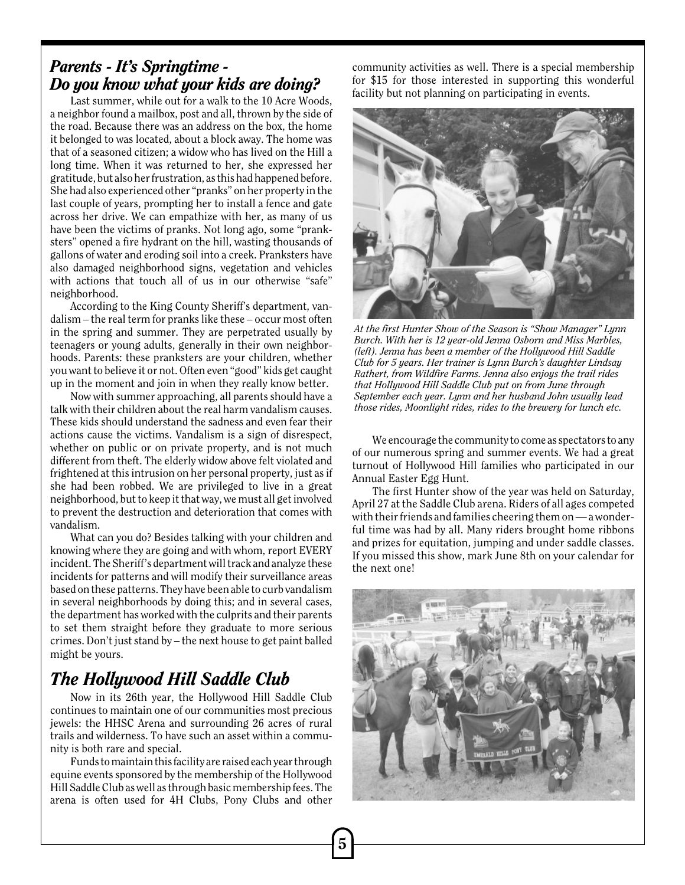## *Parents - It's Springtime - Do you know what your kids are doing?*

Last summer, while out for a walk to the 10 Acre Woods, a neighbor found a mailbox, post and all, thrown by the side of the road. Because there was an address on the box, the home it belonged to was located, about a block away. The home was that of a seasoned citizen; a widow who has lived on the Hill a long time. When it was returned to her, she expressed her gratitude, but also her frustration, as this had happened before. She had also experienced other "pranks" on her property in the last couple of years, prompting her to install a fence and gate across her drive. We can empathize with her, as many of us have been the victims of pranks. Not long ago, some "pranksters" opened a fire hydrant on the hill, wasting thousands of gallons of water and eroding soil into a creek. Pranksters have also damaged neighborhood signs, vegetation and vehicles with actions that touch all of us in our otherwise "safe" neighborhood.

According to the King County Sheriff's department, vandalism – the real term for pranks like these – occur most often in the spring and summer. They are perpetrated usually by teenagers or young adults, generally in their own neighborhoods. Parents: these pranksters are your children, whether you want to believe it or not. Often even "good" kids get caught up in the moment and join in when they really know better.

Now with summer approaching, all parents should have a talk with their children about the real harm vandalism causes. These kids should understand the sadness and even fear their actions cause the victims. Vandalism is a sign of disrespect, whether on public or on private property, and is not much different from theft. The elderly widow above felt violated and frightened at this intrusion on her personal property, just as if she had been robbed. We are privileged to live in a great neighborhood, but to keep it that way, we must all get involved to prevent the destruction and deterioration that comes with vandalism.

What can you do? Besides talking with your children and knowing where they are going and with whom, report EVERY incident. The Sheriff's department will track and analyze these incidents for patterns and will modify their surveillance areas based on these patterns. They have been able to curb vandalism in several neighborhoods by doing this; and in several cases, the department has worked with the culprits and their parents to set them straight before they graduate to more serious crimes. Don't just stand by – the next house to get paint balled might be yours.

# *The Hollywood Hill Saddle Club*

Now in its 26th year, the Hollywood Hill Saddle Club continues to maintain one of our communities most precious jewels: the HHSC Arena and surrounding 26 acres of rural trails and wilderness. To have such an asset within a community is both rare and special.

Funds to maintain this facility are raised each year through equine events sponsored by the membership of the Hollywood Hill Saddle Club as well as through basic membership fees. The arena is often used for 4H Clubs, Pony Clubs and other community activities as well. There is a special membership for \$15 for those interested in supporting this wonderful facility but not planning on participating in events.



*At the first Hunter Show of the Season is "Show Manager" Lynn Burch. With her is 12 year-old Jenna Osborn and Miss Marbles, (left). Jenna has been a member of the Hollywood Hill Saddle Club for 5 years. Her trainer is Lynn Burch's daughter Lindsay Rathert, from Wildfire Farms. Jenna also enjoys the trail rides that Hollywood Hill Saddle Club put on from June through September each year. Lynn and her husband John usually lead those rides, Moonlight rides, rides to the brewery for lunch etc.*

We encourage the community to come as spectators to any of our numerous spring and summer events. We had a great turnout of Hollywood Hill families who participated in our Annual Easter Egg Hunt.

The first Hunter show of the year was held on Saturday, April 27 at the Saddle Club arena. Riders of all ages competed with their friends and families cheering them on — a wonderful time was had by all. Many riders brought home ribbons and prizes for equitation, jumping and under saddle classes. If you missed this show, mark June 8th on your calendar for the next one!

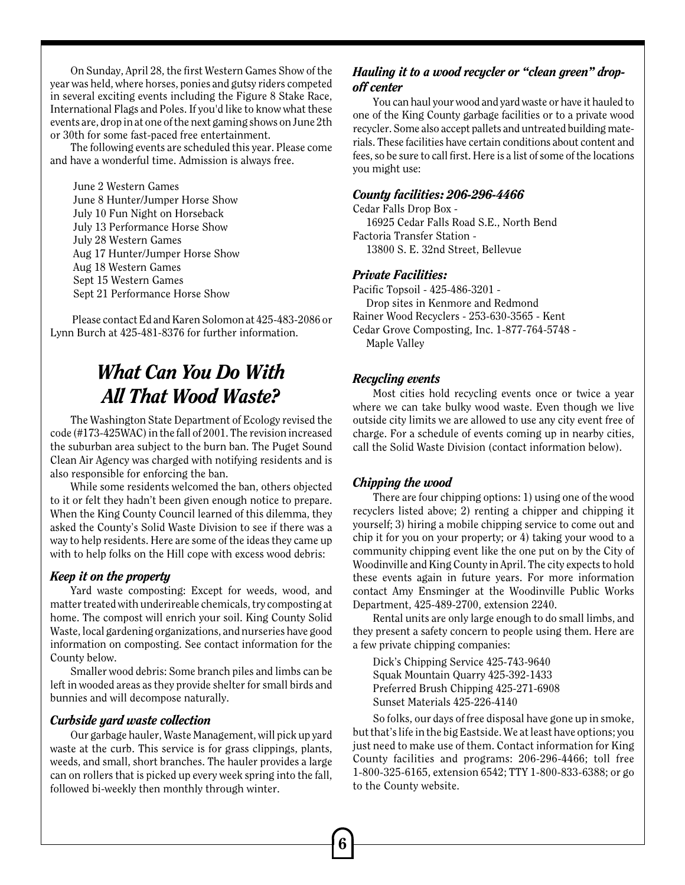On Sunday, April 28, the first Western Games Show of the year was held, where horses, ponies and gutsy riders competed in several exciting events including the Figure 8 Stake Race, International Flags and Poles. If you'd like to know what these events are, drop in at one of the next gaming shows on June 2th or 30th for some fast-paced free entertainment.

The following events are scheduled this year. Please come and have a wonderful time. Admission is always free.

 June 2 Western Games June 8 Hunter/Jumper Horse Show July 10 Fun Night on Horseback July 13 Performance Horse Show July 28 Western Games Aug 17 Hunter/Jumper Horse Show Aug 18 Western Games Sept 15 Western Games Sept 21 Performance Horse Show

 Please contact Ed and Karen Solomon at 425-483-2086 or Lynn Burch at 425-481-8376 for further information.

## *What Can You Do With All That Wood Waste?*

The Washington State Department of Ecology revised the code (#173-425WAC) in the fall of 2001. The revision increased the suburban area subject to the burn ban. The Puget Sound Clean Air Agency was charged with notifying residents and is also responsible for enforcing the ban.

While some residents welcomed the ban, others objected to it or felt they hadn't been given enough notice to prepare. When the King County Council learned of this dilemma, they asked the County's Solid Waste Division to see if there was a way to help residents. Here are some of the ideas they came up with to help folks on the Hill cope with excess wood debris:

### *Keep it on the property*

Yard waste composting: Except for weeds, wood, and matter treated with underireable chemicals, try composting at home. The compost will enrich your soil. King County Solid Waste, local gardening organizations, and nurseries have good information on composting. See contact information for the County below.

Smaller wood debris: Some branch piles and limbs can be left in wooded areas as they provide shelter for small birds and bunnies and will decompose naturally.

#### *Curbside yard waste collection*

Our garbage hauler, Waste Management, will pick up yard waste at the curb. This service is for grass clippings, plants, weeds, and small, short branches. The hauler provides a large can on rollers that is picked up every week spring into the fall, followed bi-weekly then monthly through winter.

### *Hauling it to a wood recycler or "clean green" dropoff center*

You can haul your wood and yard waste or have it hauled to one of the King County garbage facilities or to a private wood recycler. Some also accept pallets and untreated building materials. These facilities have certain conditions about content and fees, so be sure to call first. Here is a list of some of the locations you might use:

#### *County facilities: 206-296-4466*

Cedar Falls Drop Box - 16925 Cedar Falls Road S.E., North Bend Factoria Transfer Station - 13800 S. E. 32nd Street, Bellevue

#### *Private Facilities:*

Pacific Topsoil - 425-486-3201 - Drop sites in Kenmore and Redmond Rainer Wood Recyclers - 253-630-3565 - Kent Cedar Grove Composting, Inc. 1-877-764-5748 - Maple Valley

#### *Recycling events*

Most cities hold recycling events once or twice a year where we can take bulky wood waste. Even though we live outside city limits we are allowed to use any city event free of charge. For a schedule of events coming up in nearby cities, call the Solid Waste Division (contact information below).

#### *Chipping the wood*

There are four chipping options: 1) using one of the wood recyclers listed above; 2) renting a chipper and chipping it yourself; 3) hiring a mobile chipping service to come out and chip it for you on your property; or 4) taking your wood to a community chipping event like the one put on by the City of Woodinville and King County in April. The city expects to hold these events again in future years. For more information contact Amy Ensminger at the Woodinville Public Works Department, 425-489-2700, extension 2240.

Rental units are only large enough to do small limbs, and they present a safety concern to people using them. Here are a few private chipping companies:

Dick's Chipping Service 425-743-9640 Squak Mountain Quarry 425-392-1433 Preferred Brush Chipping 425-271-6908 Sunset Materials 425-226-4140

So folks, our days of free disposal have gone up in smoke, but that's life in the big Eastside. We at least have options; you just need to make use of them. Contact information for King County facilities and programs: 206-296-4466; toll free 1-800-325-6165, extension 6542; TTY 1-800-833-6388; or go to the County website.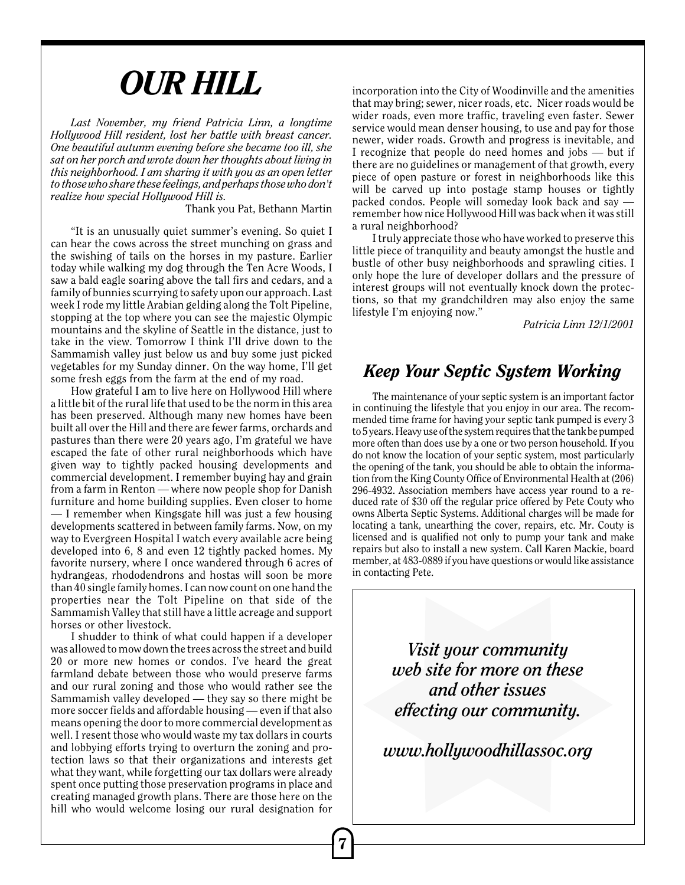# *OUR HILL*

*Last November, my friend Patricia Linn, a longtime Hollywood Hill resident, lost her battle with breast cancer. One beautiful autumn evening before she became too ill, she sat on her porch and wrote down her thoughts about living in this neighborhood. I am sharing it with you as an open letter to those who share these feelings, and perhaps those who don't realize how special Hollywood Hill is.*

Thank you Pat, Bethann Martin

"It is an unusually quiet summer's evening. So quiet I can hear the cows across the street munching on grass and the swishing of tails on the horses in my pasture. Earlier today while walking my dog through the Ten Acre Woods, I saw a bald eagle soaring above the tall firs and cedars, and a family of bunnies scurrying to safety upon our approach. Last week I rode my little Arabian gelding along the Tolt Pipeline, stopping at the top where you can see the majestic Olympic mountains and the skyline of Seattle in the distance, just to take in the view. Tomorrow I think I'll drive down to the Sammamish valley just below us and buy some just picked vegetables for my Sunday dinner. On the way home, I'll get some fresh eggs from the farm at the end of my road.

How grateful I am to live here on Hollywood Hill where a little bit of the rural life that used to be the norm in this area has been preserved. Although many new homes have been built all over the Hill and there are fewer farms, orchards and pastures than there were 20 years ago, I'm grateful we have escaped the fate of other rural neighborhoods which have given way to tightly packed housing developments and commercial development. I remember buying hay and grain from a farm in Renton — where now people shop for Danish furniture and home building supplies. Even closer to home — I remember when Kingsgate hill was just a few housing developments scattered in between family farms. Now, on my way to Evergreen Hospital I watch every available acre being developed into 6, 8 and even 12 tightly packed homes. My favorite nursery, where I once wandered through 6 acres of hydrangeas, rhododendrons and hostas will soon be more than 40 single family homes. I can now count on one hand the properties near the Tolt Pipeline on that side of the Sammamish Valley that still have a little acreage and support horses or other livestock.

I shudder to think of what could happen if a developer was allowed to mow down the trees across the street and build 20 or more new homes or condos. I've heard the great farmland debate between those who would preserve farms and our rural zoning and those who would rather see the Sammamish valley developed — they say so there might be more soccer fields and affordable housing — even if that also means opening the door to more commercial development as well. I resent those who would waste my tax dollars in courts and lobbying efforts trying to overturn the zoning and protection laws so that their organizations and interests get what they want, while forgetting our tax dollars were already spent once putting those preservation programs in place and creating managed growth plans. There are those here on the hill who would welcome losing our rural designation for incorporation into the City of Woodinville and the amenities that may bring; sewer, nicer roads, etc. Nicer roads would be wider roads, even more traffic, traveling even faster. Sewer service would mean denser housing, to use and pay for those newer, wider roads. Growth and progress is inevitable, and I recognize that people do need homes and jobs — but if there are no guidelines or management of that growth, every piece of open pasture or forest in neighborhoods like this will be carved up into postage stamp houses or tightly packed condos. People will someday look back and say remember how nice Hollywood Hill was back when it was still a rural neighborhood?

I truly appreciate those who have worked to preserve this little piece of tranquility and beauty amongst the hustle and bustle of other busy neighborhoods and sprawling cities. I only hope the lure of developer dollars and the pressure of interest groups will not eventually knock down the protections, so that my grandchildren may also enjoy the same lifestyle I'm enjoying now."

*Patricia Linn 12/1/2001*

## *Keep Your Septic System Working*

The maintenance of your septic system is an important factor in continuing the lifestyle that you enjoy in our area. The recommended time frame for having your septic tank pumped is every 3 to 5 years. Heavy use of the system requires that the tank be pumped more often than does use by a one or two person household. If you do not know the location of your septic system, most particularly the opening of the tank, you should be able to obtain the information from the King County Office of Environmental Health at (206) 296-4932. Association members have access year round to a reduced rate of \$30 off the regular price offered by Pete Couty who owns Alberta Septic Systems. Additional charges will be made for locating a tank, unearthing the cover, repairs, etc. Mr. Couty is licensed and is qualified not only to pump your tank and make repairs but also to install a new system. Call Karen Mackie, board member, at 483-0889 if you have questions or would like assistance in contacting Pete.